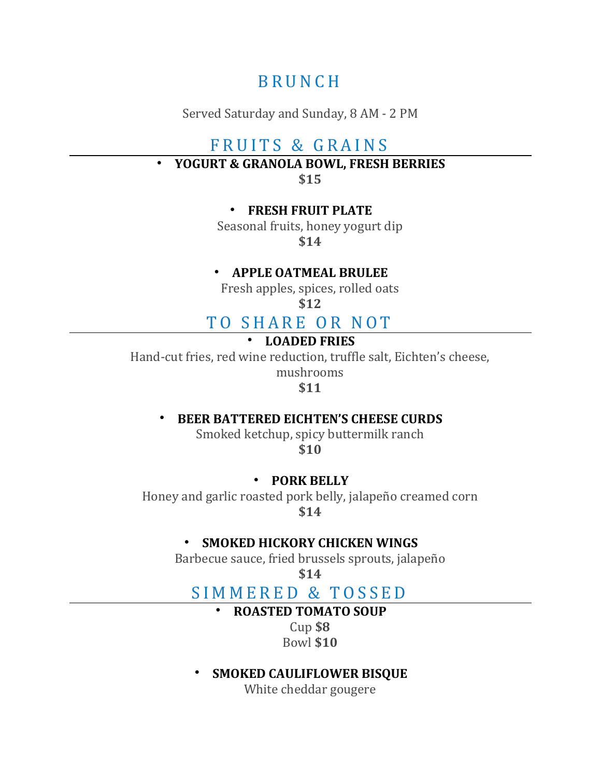# **B R U N C H**

Served Saturday and Sunday, 8 AM - 2 PM

# FRUITS & GRAINS

• **YOGURT & GRANOLA BOWL, FRESH BERRIES**

**\$15**

#### • **FRESH FRUIT PLATE**

Seasonal fruits, honey yogurt dip **\$14**

## • **APPLE OATMEAL BRULEE**

Fresh apples, spices, rolled oats

**\$12**

# TO SHARE OR NOT

### • **LOADED FRIES**

Hand-cut fries, red wine reduction, truffle salt, Eichten's cheese,

mushrooms

**\$11**

## • **BEER BATTERED EICHTEN'S CHEESE CURDS**

Smoked ketchup, spicy buttermilk ranch **\$10**

#### • **PORK BELLY**

Honey and garlic roasted pork belly, jalapeño creamed corn **\$14**

### • **SMOKED HICKORY CHICKEN WINGS**

Barbecue sauce, fried brussels sprouts, jalapeño

**\$14**

# SIMMERED & TOSSED

## • **ROASTED TOMATO SOUP**

Cup **\$8** Bowl **\$10**

## • **SMOKED CAULIFLOWER BISQUE**

White cheddar gougere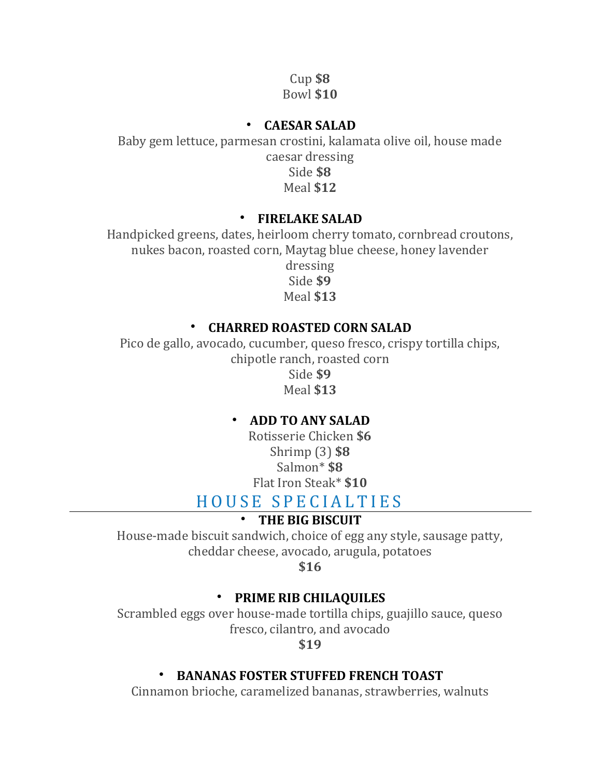Cup **\$8** Bowl **\$10**

## • **CAESAR SALAD**

Baby gem lettuce, parmesan crostini, kalamata olive oil, house made caesar dressing Side **\$8** Meal **\$12**

## • **FIRELAKE SALAD**

Handpicked greens, dates, heirloom cherry tomato, cornbread croutons, nukes bacon, roasted corn, Maytag blue cheese, honey lavender dressing Side **\$9** Meal **\$13**

## • **CHARRED ROASTED CORN SALAD**

Pico de gallo, avocado, cucumber, queso fresco, crispy tortilla chips, chipotle ranch, roasted corn Side **\$9** Meal **\$13**

# • **ADD TO ANY SALAD**

Rotisserie Chicken **\$6** Shrimp (3) **\$8** Salmon\* **\$8** Flat Iron Steak\* **\$10**

# HOUSE SPECIALTIES

# • **THE BIG BISCUIT**

House-made biscuit sandwich, choice of egg any style, sausage patty, cheddar cheese, avocado, arugula, potatoes

**\$16**

## • **PRIME RIB CHILAQUILES**

Scrambled eggs over house-made tortilla chips, guajillo sauce, queso fresco, cilantro, and avocado

**\$19**

# • **BANANAS FOSTER STUFFED FRENCH TOAST**

Cinnamon brioche, caramelized bananas, strawberries, walnuts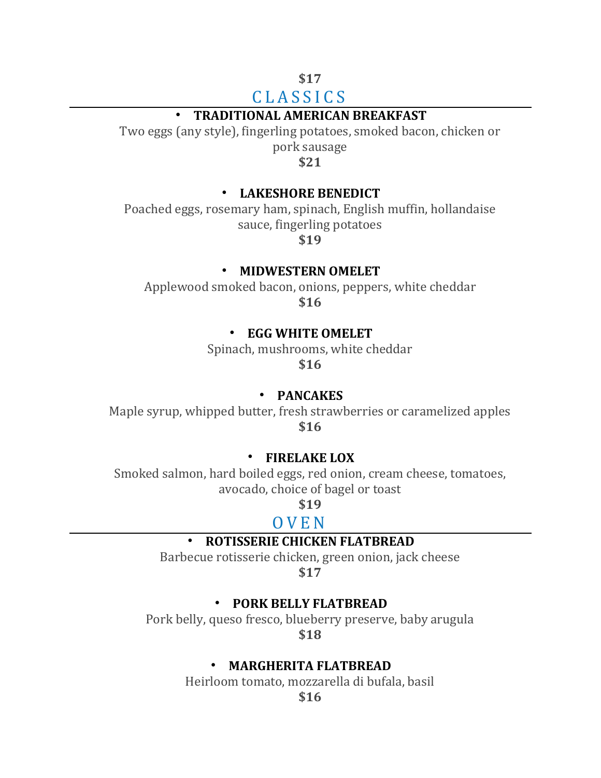## **\$17** C L A S S I C S

# • **TRADITIONAL AMERICAN BREAKFAST**

Two eggs (any style), fingerling potatoes, smoked bacon, chicken or pork sausage

**\$21**

#### • **LAKESHORE BENEDICT**

Poached eggs, rosemary ham, spinach, English muffin, hollandaise sauce, fingerling potatoes

**\$19**

#### • **MIDWESTERN OMELET**

Applewood smoked bacon, onions, peppers, white cheddar

**\$16**

#### • **EGG WHITE OMELET**

Spinach, mushrooms, white cheddar **\$16**

#### • **PANCAKES**

Maple syrup, whipped butter, fresh strawberries or caramelized apples **\$16**

#### • **FIRELAKE LOX**

Smoked salmon, hard boiled eggs, red onion, cream cheese, tomatoes, avocado, choice of bagel or toast

**\$19**

### O V E N

#### • **ROTISSERIE CHICKEN FLATBREAD**

Barbecue rotisserie chicken, green onion, jack cheese

**\$17**

#### • **PORK BELLY FLATBREAD**

Pork belly, queso fresco, blueberry preserve, baby arugula **\$18**

#### • **MARGHERITA FLATBREAD**

Heirloom tomato, mozzarella di bufala, basil

**\$16**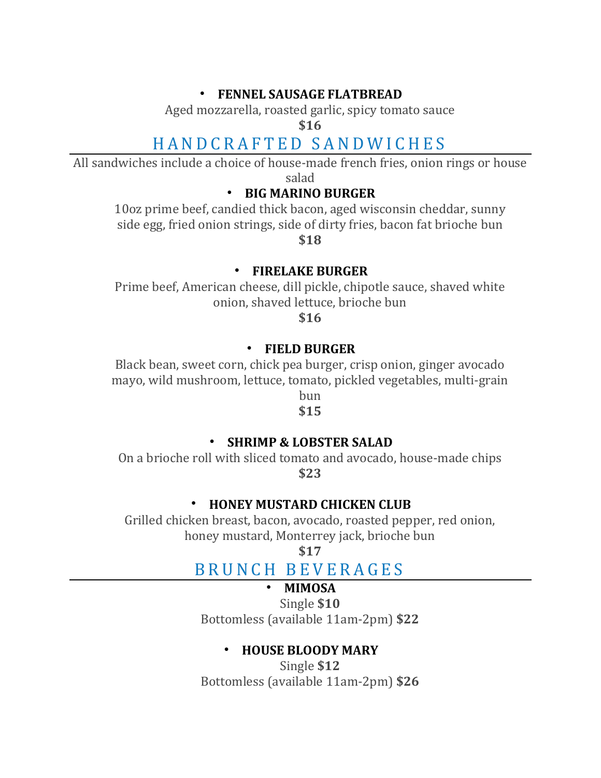### • **FENNEL SAUSAGE FLATBREAD**

Aged mozzarella, roasted garlic, spicy tomato sauce

**\$16**

# H A N D C R A F T E D S A N D W I C H E S

All sandwiches include a choice of house-made french fries, onion rings or house salad

## • **BIG MARINO BURGER**

10oz prime beef, candied thick bacon, aged wisconsin cheddar, sunny side egg, fried onion strings, side of dirty fries, bacon fat brioche bun **\$18**

• **FIRELAKE BURGER**

Prime beef, American cheese, dill pickle, chipotle sauce, shaved white onion, shaved lettuce, brioche bun

**\$16**

### • **FIELD BURGER**

Black bean, sweet corn, chick pea burger, crisp onion, ginger avocado mayo, wild mushroom, lettuce, tomato, pickled vegetables, multi-grain

bun **\$15**

# • **SHRIMP & LOBSTER SALAD**

On a brioche roll with sliced tomato and avocado, house-made chips **\$23**

## • **HONEY MUSTARD CHICKEN CLUB**

Grilled chicken breast, bacon, avocado, roasted pepper, red onion, honey mustard, Monterrey jack, brioche bun

**\$17**

# B R U N C H B E V E R A G E S

## • **MIMOSA**

Single **\$10** Bottomless (available 11am-2pm) **\$22**

# • **HOUSE BLOODY MARY**

Single **\$12** Bottomless (available 11am-2pm) **\$26**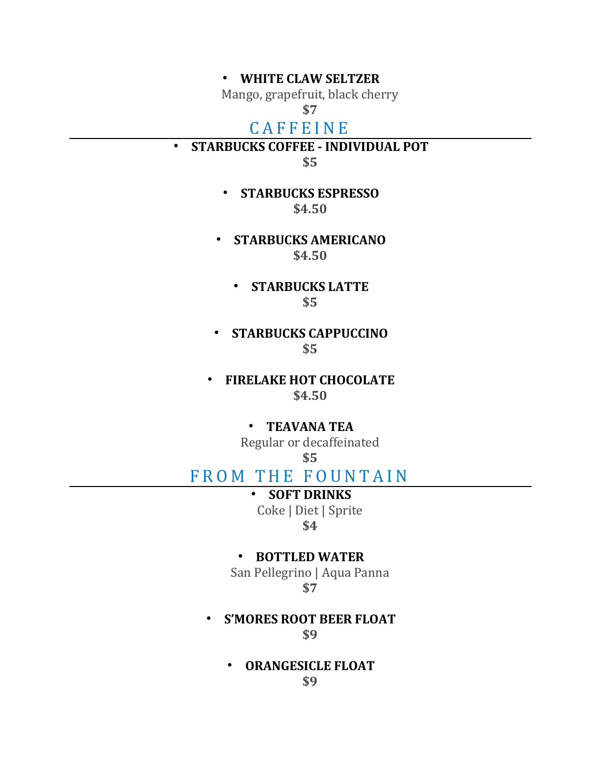#### • **WHITE CLAW SELTZER**

Mango, grapefruit, black cherry

# **\$7**

# **CAFFEINE**

• **STARBUCKS COFFEE - INDIVIDUAL POT**

**\$5**

- **STARBUCKS ESPRESSO \$4.50**
- **STARBUCKS AMERICANO \$4.50**
	- **STARBUCKS LATTE \$5**
- **STARBUCKS CAPPUCCINO \$5**
- **FIRELAKE HOT CHOCOLATE \$4.50**

#### • **TEAVANA TEA**

Regular or decaffeinated **\$5**

# FROM THE FOUNTAIN

# • **SOFT DRINKS**

Coke | Diet | Sprite **\$4**

#### • **BOTTLED WATER**

San Pellegrino | Aqua Panna **\$7**

• **S'MORES ROOT BEER FLOAT \$9**

> • **ORANGESICLE FLOAT \$9**